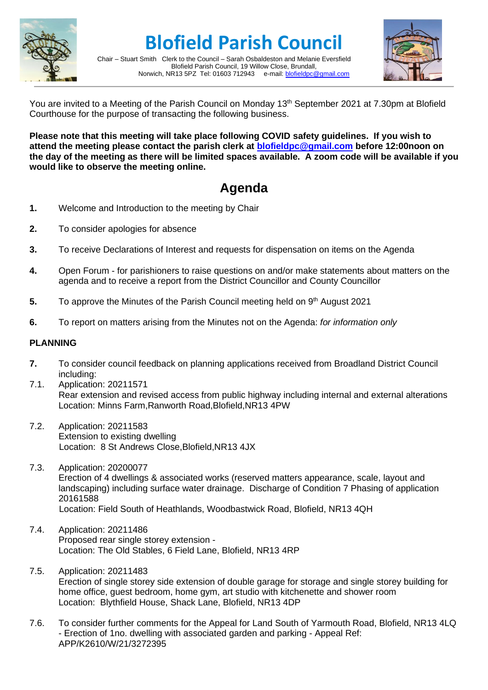

**Blofield Parish Council**

Chair – Stuart Smith Clerk to the Council – Sarah Osbaldeston and Melanie Eversfield Blofield Parish Council, 19 Willow Close, Brundall, Norwich, NR13 5PZ Tel: 01603 712943 e-mail: [blofieldpc@gmail.com](mailto:blofieldpc@gmail.com)



You are invited to a Meeting of the Parish Council on Monday 13<sup>th</sup> September 2021 at 7.30pm at Blofield Courthouse for the purpose of transacting the following business.

**Please note that this meeting will take place following COVID safety guidelines. If you wish to attend the meeting please contact the parish clerk at [blofieldpc@gmail.com](mailto:blofieldpc@gmail.com) before 12:00noon on the day of the meeting as there will be limited spaces available. A zoom code will be available if you would like to observe the meeting online.** 

# **Agenda**

- **1.** Welcome and Introduction to the meeting by Chair
- **2.** To consider apologies for absence
- **3.** To receive Declarations of Interest and requests for dispensation on items on the Agenda
- **4.** Open Forum for parishioners to raise questions on and/or make statements about matters on the agenda and to receive a report from the District Councillor and County Councillor
- **5.** To approve the Minutes of the Parish Council meeting held on 9<sup>th</sup> August 2021
- **6.** To report on matters arising from the Minutes not on the Agenda: *for information only*

# **PLANNING**

- **7.** To consider council feedback on planning applications received from Broadland District Council including:
- 7.1. Application: 20211571 Rear extension and revised access from public highway including internal and external alterations Location: Minns Farm,Ranworth Road,Blofield,NR13 4PW
- 7.2. Application: 20211583 Extension to existing dwelling Location: 8 St Andrews Close,Blofield,NR13 4JX
- 7.3. Application: 20200077 Erection of 4 dwellings & associated works (reserved matters appearance, scale, layout and landscaping) including surface water drainage. Discharge of Condition 7 Phasing of application 20161588 Location: Field South of Heathlands, Woodbastwick Road, Blofield, NR13 4QH
- 7.4. Application: 20211486 Proposed rear single storey extension - Location: The Old Stables, 6 Field Lane, Blofield, NR13 4RP
- 7.5. Application: 20211483 Erection of single storey side extension of double garage for storage and single storey building for home office, guest bedroom, home gym, art studio with kitchenette and shower room Location: Blythfield House, Shack Lane, Blofield, NR13 4DP
- 7.6. To consider further comments for the Appeal for Land South of Yarmouth Road, Blofield, NR13 4LQ - Erection of 1no. dwelling with associated garden and parking - Appeal Ref: APP/K2610/W/21/3272395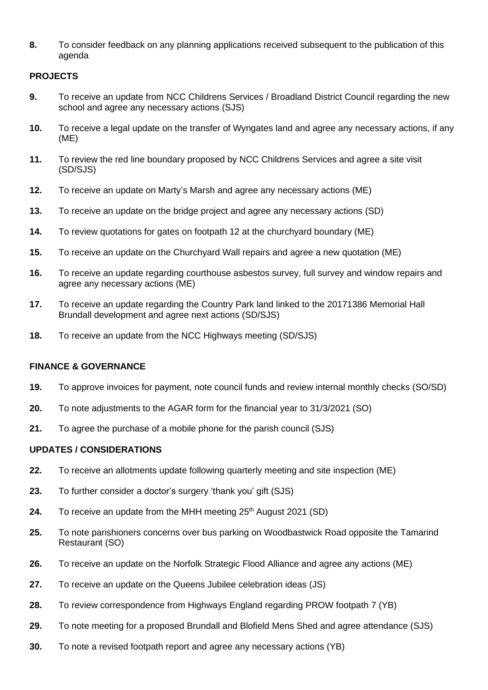**8.** To consider feedback on any planning applications received subsequent to the publication of this agenda

# **PROJECTS**

- **9.** To receive an update from NCC Childrens Services / Broadland District Council regarding the new school and agree any necessary actions (SJS)
- **10.** To receive a legal update on the transfer of Wyngates land and agree any necessary actions, if any (ME)
- **11.** To review the red line boundary proposed by NCC Childrens Services and agree a site visit (SD/SJS)
- **12.** To receive an update on Marty's Marsh and agree any necessary actions (ME)
- **13.** To receive an update on the bridge project and agree any necessary actions (SD)
- **14.** To review quotations for gates on footpath 12 at the churchyard boundary (ME)
- **15.** To receive an update on the Churchyard Wall repairs and agree a new quotation (ME)
- **16.** To receive an update regarding courthouse asbestos survey, full survey and window repairs and agree any necessary actions (ME)
- **17.** To receive an update regarding the Country Park land linked to the 20171386 Memorial Hall Brundall development and agree next actions (SD/SJS)
- **18.** To receive an update from the NCC Highways meeting (SD/SJS)

# **FINANCE & GOVERNANCE**

- **19.** To approve invoices for payment, note council funds and review internal monthly checks (SO/SD)
- **20.** To note adjustments to the AGAR form for the financial year to 31/3/2021 (SO)
- **21.** To agree the purchase of a mobile phone for the parish council (SJS)

# **UPDATES / CONSIDERATIONS**

- **22.** To receive an allotments update following quarterly meeting and site inspection (ME)
- **23.** To further consider a doctor's surgery 'thank you' gift (SJS)
- **24.** To receive an update from the MHH meeting 25<sup>th</sup> August 2021 (SD)
- **25.** To note parishioners concerns over bus parking on Woodbastwick Road opposite the Tamarind Restaurant (SO)
- **26.** To receive an update on the Norfolk Strategic Flood Alliance and agree any actions (ME)
- **27.** To receive an update on the Queens Jubilee celebration ideas (JS)
- **28.** To review correspondence from Highways England regarding PROW footpath 7 (YB)
- **29.** To note meeting for a proposed Brundall and Blofield Mens Shed and agree attendance (SJS)
- **30.** To note a revised footpath report and agree any necessary actions (YB)